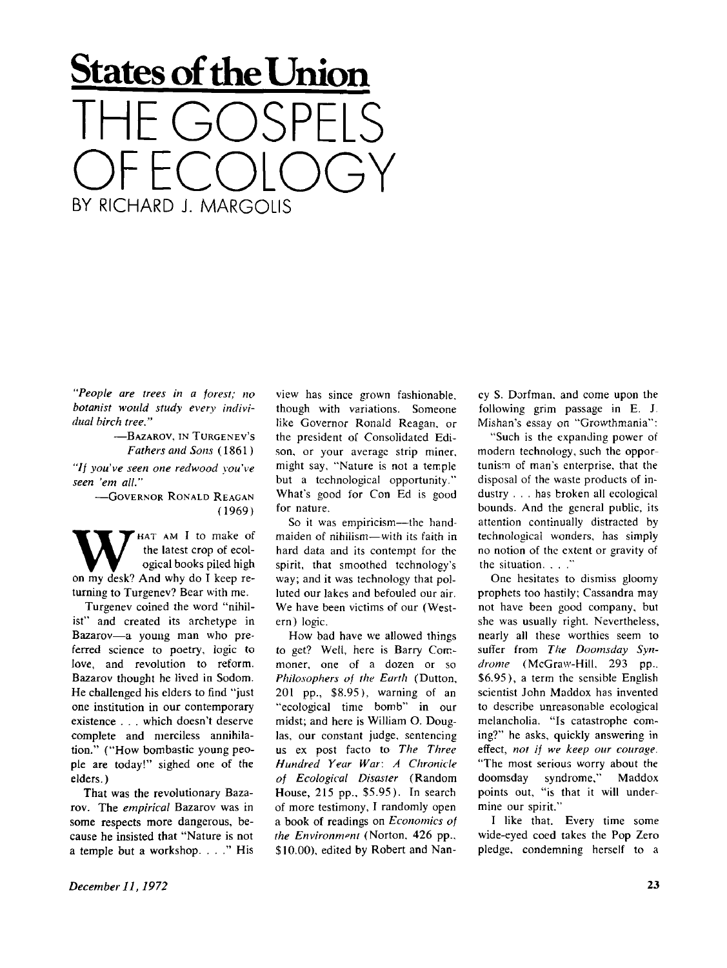## **States of the Union**  THE GOSPELS OF ECOLOGY BY RICHARD J. MARGOLIS

*"People are trees in a forest; no botanist would study every individual birch tree."* 

> -BAZAROV, IN TURGENEV'S *Fathers and Sons* (1861 )

*"// you've seen one redwood you've seen 'em all."* 

> -GOVERNOR RONALD REAGAN (1969)

W HAT AM I to make of<br>the latest crop of ecological books piled high<br>on my desk? And why do I keep re-HAT AM I to make of the latest crop of ecological books piled high turning to Turgenev? Bear with me.

Turgenev coined the word "nihilist" and created its archetype in Bazarov—a young man who preferred science to poetry, logic to love, and revolution to reform. Bazarov thought he lived in Sodom. He challenged his elders to find "just one institution in our contemporary existence . . . which doesn't deserve complete and merciless annihilation." ("How bombastic young people are today!" sighed one of the elders.)

That was the revolutionary Bazarov. The *empirical* Bazarov was in some respects more dangerous, because he insisted that "Nature is not a temple but a workshop. . . ." His

view has since grown fashionable, though with variations. Someone like Governor Ronald Reagan, or the president of Consolidated Edison, or your average strip miner, might say, "Nature is not a temple but a technological opportunity." What's good for Con Ed is good for nature.

So it was empiricism—the handmaiden of nihilism—with its faith in hard data and its contempt for the spirit, that smoothed technology's way; and it was technology that polluted our lakes and befouled our air. We have been victims of our (Western) logic.

How bad have we allowed things to get? Well, here is Barry Commoner, one of a dozen or so *Philosophers of the Earth* (Dutton. 201 pp., \$8.95), warning of an "ecological time bomb" in our midst; and here is William O. Douglas, our constant judge, sentencing us ex post facto to *The Three Hundred Year War: A Chronicle of Ecological Disaster* (Random House, 215 pp.. \$5.95). In search of more testimony, I randomly open a book of readings on *Economics of the Environment* (Norton, 426 pp., \$10.00), edited by Robert and Nancy S. Dorfman. and come upon the following grim passage in E. J. Mishan's essay on "Growthmania":

"Such is the expanding power of modern technology, such the opportunism of man's enterprise, that the disposal of the waste products of industry . . . has broken all ecological bounds. And the general public, its attention continually distracted by technological wonders, has simply no notion of the extent or gravity of the situation. . . ."

One hesitates to dismiss gloomy prophets too hastily; Cassandra may not have been good company, but she was usually right. Nevertheless, nearly all these worthies seem to suffer from *The Doomsday Syndrome* (McGraw-Hill. 293 pp.. \$6.95), a term the sensible English scientist John Maddox has invented to describe unreasonable ecological melancholia. "Is catastrophe coming?" he asks, quickly answering in effect, *not if we keep our courage.*  "The most serious worry about the doomsday syndrome," Maddox points out, "is that it will undermine our spirit."

I like that. Every time some wide-eyed coed takes the Pop Zero pledge, condemning herself to a